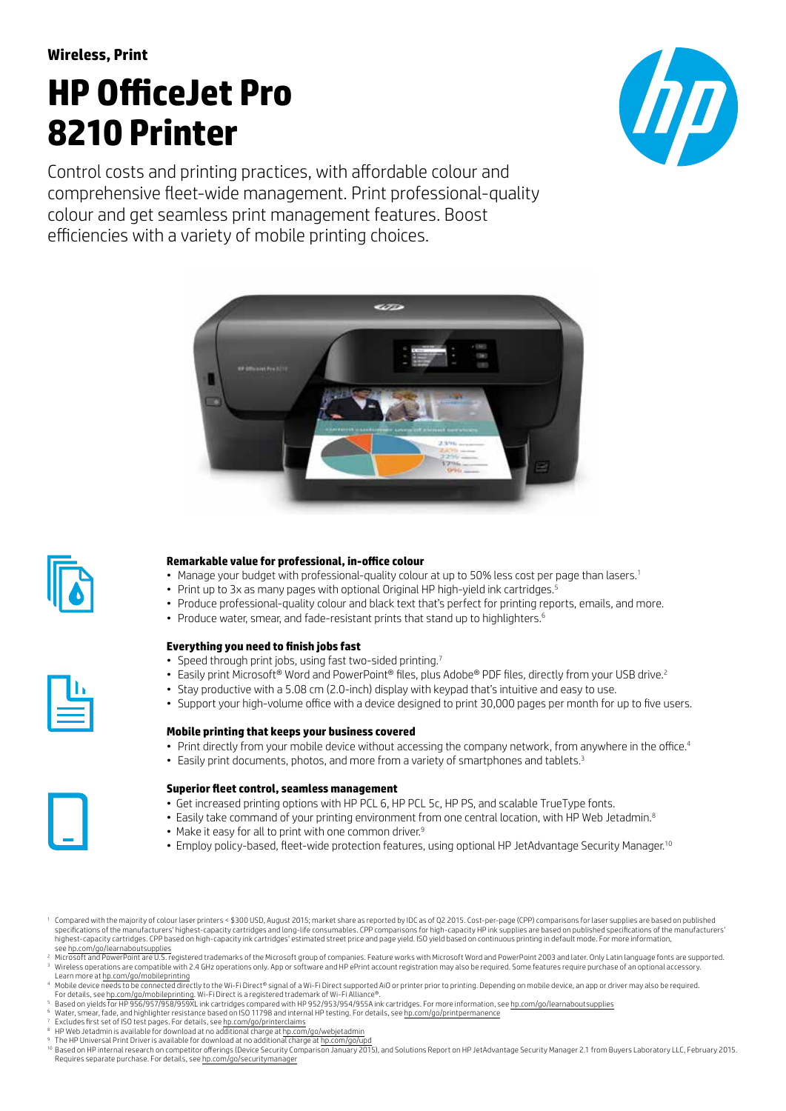# **HP OfficeJet Pro 8210 Printer**

Control costs and printing practices, with affordable colour and comprehensive fleet-wide management. Print professional-quality colour and get seamless print management features. Boost efficiencies with a variety of mobile printing choices.







# **Remarkable value for professional, in-office colour**

- Manage your budget with professional-quality colour at up to 50% less cost per page than lasers.<sup>1</sup>
- Print up to 3x as many pages with optional Original HP high-yield ink cartridges.<sup>5</sup>
- Produce professional-quality colour and black text that's perfect for printing reports, emails, and more.
- Produce water, smear, and fade-resistant prints that stand up to highlighters.<sup>6</sup>



## **Everything you need to finish jobs fast**

- Speed through print jobs, using fast two-sided printing.<sup>7</sup>
- Easily print Microsoft® Word and PowerPoint® files, plus Adobe® PDF files, directly from your USB drive.<sup>2</sup>
- Stay productive with a 5.08 cm (2.0-inch) display with keypad that's intuitive and easy to use.
- Support your high-volume office with a device designed to print 30,000 pages per month for up to five users.

## **Mobile printing that keeps your business covered**

- Print directly from your mobile device without accessing the company network, from anywhere in the office.<sup>4</sup>
- Easily print documents, photos, and more from a variety of smartphones and tablets.<sup>3</sup>



## **Superior fleet control, seamless management**

- Get increased printing options with HP PCL 6, HP PCL 5c, HP PS, and scalable TrueType fonts.
- Easily take command of your printing environment from one central location, with HP Web Jetadmin.8
- Make it easy for all to print with one common driver.<sup>9</sup>
- Employ policy-based, fleet-wide protection features, using optional HP JetAdvantage Security Manager.<sup>10</sup>

<sup>1</sup> Compared with the majority of colour laser printers < \$300 USD, August 2015; market share as reported by IDC as of Q2 2015. Cost-per-page (CPP) comparisons for laser supplies are based on published specifications of the manufacturers' highest-capacity cartridges and long-life consumables. CPP comparisons for high-capacity HP ink supplies are based on published specifications of the manufacturers' highest-capacity cartridges. CPP based on high-capacity ink cartridges' estimated street price and page yield. ISO yield based on continuous printing in default mode. For more information, see [hp.com/go/learnaboutsupplies](http://hp.com/go/learnaboutsupplies)

<sup>2</sup> Microsoft and PowerPoint are U.S. registered trademarks of the Microsoft group of companies. Feature works with Microsoft Word and PowerPoint 2003 and later. Only Latin language fonts are supported.<br><sup>3</sup> Wireless operat

- Learn more at h<u>p.com/go/mobileprinting</u><br><sup>4</sup> Mobile device needs to be connected directly to the Wi-Fi Direct® signal of a Wi-Fi Direct supported AiO or printer prior to printing. Depending on mobile device, an app or driv
- For details, see [hp.com/go/mobileprinting.](http://hp.com/go/mobileprinting) Wi-Fi Direct is a registered trademark of Wi-Fi Alliance®.<br><sup>5</sup> Based on yields for HP 956/957/958/959XL ink cartridges compared with HP 952/953/954/955A ink cartridges. For more
- 
- <sup>6</sup> Water, smear, fade, and highlighter resistance based on ISO 11798 and internal HP testing. For details, see <u>hp.com/go/printpermanence</u><br><sup>7</sup> Excludes first set of ISO test pages. For details, see h<u>p.com/go/printerclaim</u>
- 
- <sup>9</sup> The HP Universal Print Driver is available for download at no additional charge at <u>hp.com/go/upd</u><br><sup>10</sup> Based on HP internal research on competitor offerings (Device Security Comparison January 2015), and Solutions Rep Requires separate purchase. For details, see [hp.com/go/securitymanager](http://hp.com/go/securitymanager)